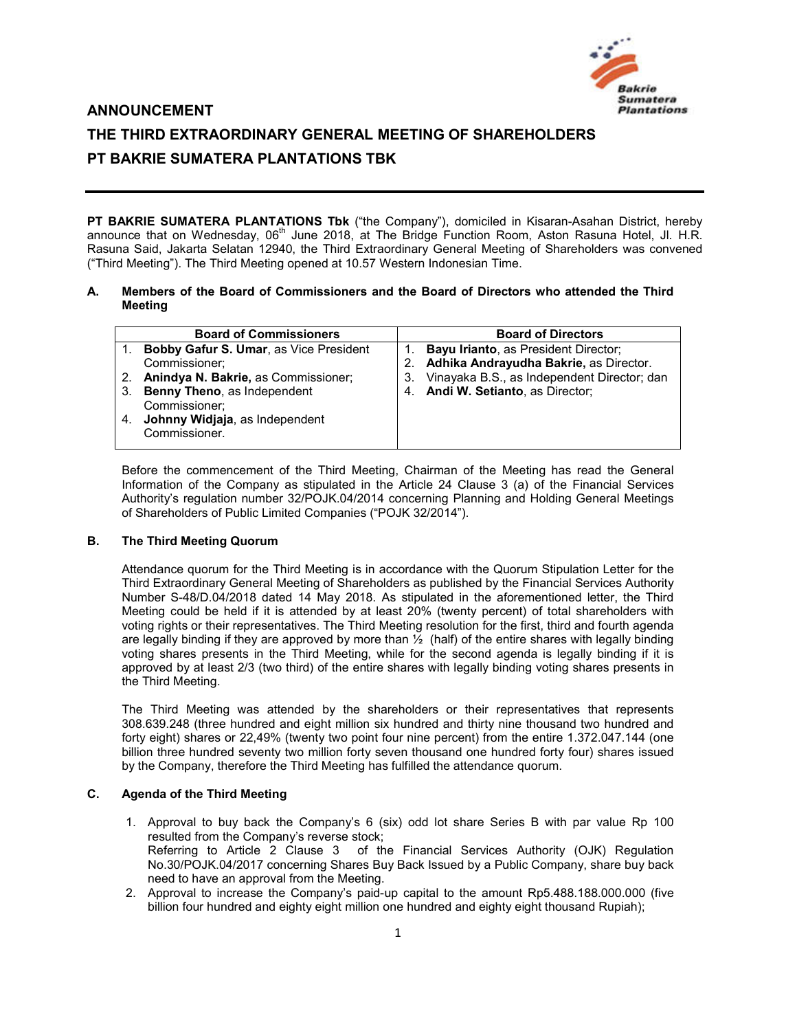

# **ANNOUNCEMENT THE THIRD EXTRAORDINARY GENERAL MEETING OF SHAREHOLDERS PT BAKRIE SUMATERA PLANTATIONS TBK**

**PT BAKRIE SUMATERA PLANTATIONS Tbk** ("the Company"), domiciled in Kisaran-Asahan District, hereby announce that on Wednesday, 06<sup>th</sup> June 2018, at The Bridge Function Room, Aston Rasuna Hotel, Jl. H.R. Rasuna Said, Jakarta Selatan 12940, the Third Extraordinary General Meeting of Shareholders was convened ("Third Meeting"). The Third Meeting opened at 10.57 Western Indonesian Time.

### **A. Members of the Board of Commissioners and the Board of Directors who attended the Third Meeting**

|    | <b>Board of Commissioners</b>          | <b>Board of Directors</b>                   |
|----|----------------------------------------|---------------------------------------------|
|    | Bobby Gafur S. Umar, as Vice President | Bayu Irianto, as President Director;        |
|    | Commissioner;                          | Adhika Andrayudha Bakrie, as Director.      |
| 2. | Anindya N. Bakrie, as Commissioner;    | Vinayaka B.S., as Independent Director; dan |
| 3. | Benny Theno, as Independent            | 4. Andi W. Setianto, as Director;           |
|    | Commissioner;                          |                                             |
| 4. | Johnny Widjaja, as Independent         |                                             |
|    | Commissioner.                          |                                             |
|    |                                        |                                             |

Before the commencement of the Third Meeting, Chairman of the Meeting has read the General Information of the Company as stipulated in the Article 24 Clause 3 (a) of the Financial Services Authority's regulation number 32/POJK.04/2014 concerning Planning and Holding General Meetings of Shareholders of Public Limited Companies ("POJK 32/2014").

# **B. The Third Meeting Quorum**

Attendance quorum for the Third Meeting is in accordance with the Quorum Stipulation Letter for the Third Extraordinary General Meeting of Shareholders as published by the Financial Services Authority Number S-48/D.04/2018 dated 14 May 2018. As stipulated in the aforementioned letter, the Third Meeting could be held if it is attended by at least 20% (twenty percent) of total shareholders with voting rights or their representatives. The Third Meeting resolution for the first, third and fourth agenda are legally binding if they are approved by more than  $\frac{1}{2}$  (half) of the entire shares with legally binding voting shares presents in the Third Meeting, while for the second agenda is legally binding if it is approved by at least 2/3 (two third) of the entire shares with legally binding voting shares presents in the Third Meeting.

The Third Meeting was attended by the shareholders or their representatives that represents 308.639.248 (three hundred and eight million six hundred and thirty nine thousand two hundred and forty eight) shares or 22,49% (twenty two point four nine percent) from the entire 1.372.047.144 (one billion three hundred seventy two million forty seven thousand one hundred forty four) shares issued by the Company, therefore the Third Meeting has fulfilled the attendance quorum.

# **C. Agenda of the Third Meeting**

- 1. Approval to buy back the Company's 6 (six) odd lot share Series B with par value Rp 100 resulted from the Company's reverse stock; Referring to Article 2 Clause 3 of the Financial Services Authority (OJK) Regulation No.30/POJK.04/2017 concerning Shares Buy Back Issued by a Public Company, share buy back need to have an approval from the Meeting.
- 2. Approval to increase the Company's paid-up capital to the amount Rp5.488.188.000.000 (five billion four hundred and eighty eight million one hundred and eighty eight thousand Rupiah);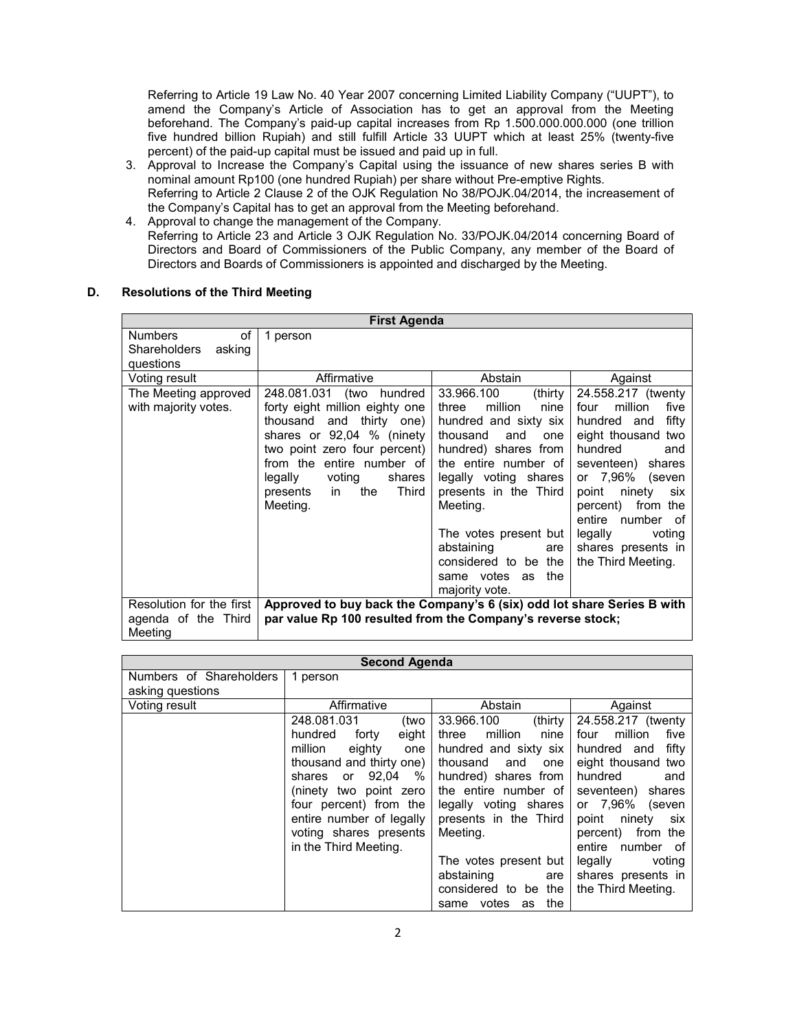Referring to Article 19 Law No. 40 Year 2007 concerning Limited Liability Company ("UUPT"), to amend the Company's Article of Association has to get an approval from the Meeting beforehand. The Company's paid-up capital increases from Rp 1.500.000.000.000 (one trillion five hundred billion Rupiah) and still fulfill Article 33 UUPT which at least 25% (twenty-five percent) of the paid-up capital must be issued and paid up in full.

- 3. Approval to Increase the Company's Capital using the issuance of new shares series B with nominal amount Rp100 (one hundred Rupiah) per share without Pre-emptive Rights. Referring to Article 2 Clause 2 of the OJK Regulation No 38/POJK.04/2014, the increasement of the Company's Capital has to get an approval from the Meeting beforehand.
- 4. Approval to change the management of the Company. Referring to Article 23 and Article 3 OJK Regulation No. 33/POJK.04/2014 concerning Board of Directors and Board of Commissioners of the Public Company, any member of the Board of Directors and Boards of Commissioners is appointed and discharged by the Meeting.

### **D. Resolutions of the Third Meeting**

| <b>First Agenda</b>                          |                                                                                                                                                                                                                                                                    |                                                                                                                                                                                                                                                                                                                                        |                                                                                                                                                                                                                                                                                                 |
|----------------------------------------------|--------------------------------------------------------------------------------------------------------------------------------------------------------------------------------------------------------------------------------------------------------------------|----------------------------------------------------------------------------------------------------------------------------------------------------------------------------------------------------------------------------------------------------------------------------------------------------------------------------------------|-------------------------------------------------------------------------------------------------------------------------------------------------------------------------------------------------------------------------------------------------------------------------------------------------|
| <b>Numbers</b><br>of                         | 1 person                                                                                                                                                                                                                                                           |                                                                                                                                                                                                                                                                                                                                        |                                                                                                                                                                                                                                                                                                 |
| <b>Shareholders</b><br>asking<br>questions   |                                                                                                                                                                                                                                                                    |                                                                                                                                                                                                                                                                                                                                        |                                                                                                                                                                                                                                                                                                 |
| Voting result                                | Affirmative                                                                                                                                                                                                                                                        | Abstain                                                                                                                                                                                                                                                                                                                                | Against                                                                                                                                                                                                                                                                                         |
| The Meeting approved<br>with majority votes. | 248.081.031 (two hundred<br>forty eight million eighty one<br>thousand and<br>thirty one)<br>shares or $92.04$ % (ninety<br>two point zero four percent)<br>from the entire number of<br>legally<br>voting<br>shares<br>Third<br>the<br>presents<br>in<br>Meeting. | (thirty)<br>33.966.100<br>three<br>million<br>nine<br>hundred and sixty six<br>thousand<br>and<br>one<br>hundred) shares from<br>the entire number of<br>legally voting shares<br>presents in the Third<br>Meeting.<br>The votes present but<br>abstaining<br>are<br>considered to be the<br>same votes<br>the<br>as<br>majority vote. | 24.558.217 (twenty<br>million<br>five<br>four<br>fifty<br>hundred and<br>eight thousand two<br>hundred<br>and<br>seventeen) shares<br>or 7,96% (seven<br>point<br>ninety<br>six<br>from the<br>percent)<br>entire number<br>of<br>legally<br>voting<br>shares presents in<br>the Third Meeting. |
| Resolution for the first                     | Approved to buy back the Company's 6 (six) odd lot share Series B with                                                                                                                                                                                             |                                                                                                                                                                                                                                                                                                                                        |                                                                                                                                                                                                                                                                                                 |
| agenda of the Third<br>Meeting               | par value Rp 100 resulted from the Company's reverse stock;                                                                                                                                                                                                        |                                                                                                                                                                                                                                                                                                                                        |                                                                                                                                                                                                                                                                                                 |

| <b>Second Agenda</b>    |                           |                          |                         |
|-------------------------|---------------------------|--------------------------|-------------------------|
| Numbers of Shareholders | 1 person                  |                          |                         |
| asking questions        |                           |                          |                         |
| Voting result           | Affirmative               | Abstain                  | Against                 |
|                         | 248.081.031<br>(two       | 33.966.100<br>(thirty)   | 24.558.217 (twenty      |
|                         | hundred<br>forty<br>eight | million<br>nine<br>three | million<br>five<br>four |
|                         | million<br>eighty<br>one  | hundred and sixty six    | hundred and<br>fifty    |
|                         | thousand and thirty one)  | thousand<br>and<br>one   | eight thousand two      |
|                         | 92,04<br>%<br>shares or   | hundred) shares from     | hundred<br>and          |
|                         | (ninety two point zero    | the entire number of     | seventeen) shares       |
|                         | four percent) from the    | legally voting shares    | or 7,96%<br>(seven      |
|                         | entire number of legally  | presents in the Third    | point<br>ninety<br>six  |
|                         | voting shares presents    | Meeting.                 | from the<br>percent)    |
|                         | in the Third Meeting.     |                          | entire<br>number<br>of  |
|                         |                           | The votes present but    | legally<br>voting       |
|                         |                           | abstaining<br>are        | shares presents in      |
|                         |                           | considered to be the     | the Third Meeting.      |
|                         |                           | the<br>same votes<br>as  |                         |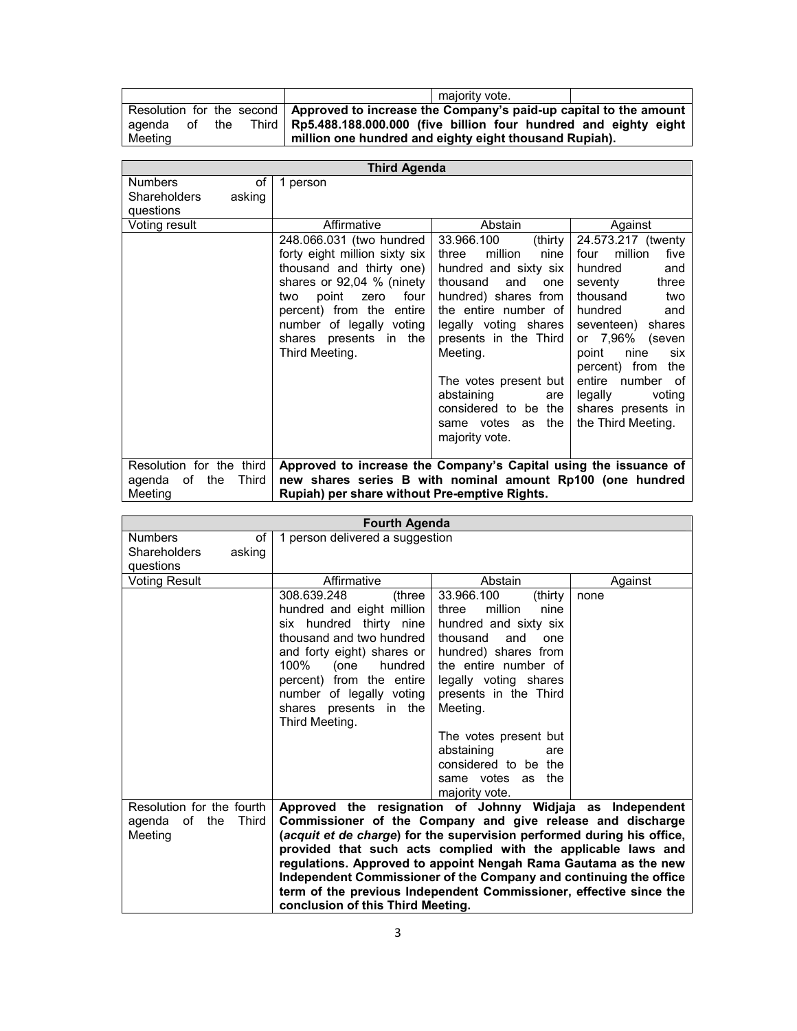|               | maiority vote.                                                                               |
|---------------|----------------------------------------------------------------------------------------------|
|               | Resolution for the second   Approved to increase the Company's paid-up capital to the amount |
| agenda of the | Third   Rp5.488.188.000.000 (five billion four hundred and eighty eight                      |
| Meeting       | million one hundred and eighty eight thousand Rupiah).                                       |

| <b>Third Agenda</b>          |                                                                  |                          |                         |
|------------------------------|------------------------------------------------------------------|--------------------------|-------------------------|
| <b>Numbers</b><br>οf         | 1 person                                                         |                          |                         |
| Shareholders<br>asking       |                                                                  |                          |                         |
| questions                    |                                                                  |                          |                         |
| Voting result                | Affirmative                                                      | Abstain                  | Against                 |
|                              | 248.066.031 (two hundred                                         | (thirty<br>33.966.100    | 24.573.217 (twenty      |
|                              | forty eight million sixty six                                    | million<br>three<br>nine | million<br>five<br>four |
|                              | thousand and thirty one)                                         | hundred and sixty six    | hundred<br>and          |
|                              | shares or 92,04 % (ninety                                        | thousand<br>and<br>one   | seventy<br>three        |
|                              | point<br>four<br>zero<br>two                                     | hundred) shares from     | thousand<br>two         |
|                              | percent) from the entire                                         | the entire number of     | hundred<br>and          |
|                              | number of legally voting                                         | legally voting shares    | seventeen)<br>shares    |
|                              | shares presents in the                                           | presents in the Third    | or 7,96% (seven         |
|                              | Third Meeting.                                                   | Meeting.                 | point<br>nine<br>six    |
|                              |                                                                  |                          | percent) from<br>the    |
|                              |                                                                  | The votes present but    | entire<br>number<br>of  |
|                              |                                                                  | abstaining<br>are        | legally<br>voting       |
|                              |                                                                  | considered to be the     | shares presents in      |
|                              |                                                                  | the<br>same votes<br>as  | the Third Meeting.      |
|                              |                                                                  | majority vote.           |                         |
| Resolution for the third     | Approved to increase the Company's Capital using the issuance of |                          |                         |
| Third<br>agenda<br>of<br>the | new shares series B with nominal amount Rp100 (one hundred       |                          |                         |
| Meeting                      | Rupiah) per share without Pre-emptive Rights.                    |                          |                         |
|                              |                                                                  |                          |                         |

| <b>Fourth Agenda</b>      |                                                                        |                          |         |
|---------------------------|------------------------------------------------------------------------|--------------------------|---------|
| <b>Numbers</b><br>of      | 1 person delivered a suggestion                                        |                          |         |
| Shareholders<br>asking    |                                                                        |                          |         |
| questions                 |                                                                        |                          |         |
| <b>Voting Result</b>      | Affirmative                                                            | Abstain                  | Against |
|                           | 308.639.248<br>(three                                                  | 33.966.100<br>(thirty    | none    |
|                           | hundred and eight million                                              | million<br>three<br>nine |         |
|                           | six hundred thirty nine                                                | hundred and sixty six    |         |
|                           | thousand and two hundred                                               | thousand<br>and<br>one   |         |
|                           | and forty eight) shares or                                             | hundred) shares from     |         |
|                           | 100%<br>hundred<br>(one                                                | the entire number of     |         |
|                           | percent) from the entire                                               | legally voting shares    |         |
|                           | number of legally voting                                               | presents in the Third    |         |
|                           | shares presents in the                                                 | Meeting.                 |         |
|                           | Third Meeting.                                                         |                          |         |
|                           |                                                                        | The votes present but    |         |
|                           |                                                                        | abstaining<br>are        |         |
|                           |                                                                        | considered to be the     |         |
|                           |                                                                        | same votes as the        |         |
|                           |                                                                        | majority vote.           |         |
| Resolution for the fourth | Approved the resignation of Johnny Widjaja as Independent              |                          |         |
| Third<br>agenda of<br>the | Commissioner of the Company and give release and discharge             |                          |         |
| Meeting                   | (acquit et de charge) for the supervision performed during his office, |                          |         |
|                           | provided that such acts complied with the applicable laws and          |                          |         |
|                           | regulations. Approved to appoint Nengah Rama Gautama as the new        |                          |         |
|                           | Independent Commissioner of the Company and continuing the office      |                          |         |
|                           | term of the previous Independent Commissioner, effective since the     |                          |         |
|                           | conclusion of this Third Meeting.                                      |                          |         |